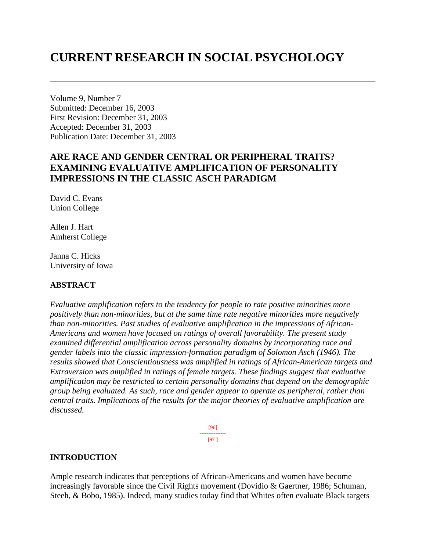# **CURRENT RESEARCH IN SOCIAL PSYCHOLOGY**

Volume 9, Number 7 Submitted: December 16, 2003 First Revision: December 31, 2003 Accepted: December 31, 2003 Publication Date: December 31, 2003

# **ARE RACE AND GENDER CENTRAL OR PERIPHERAL TRAITS? EXAMINING EVALUATIVE AMPLIFICATION OF PERSONALITY IMPRESSIONS IN THE CLASSIC ASCH PARADIGM**

David C. Evans Union College

Allen J. Hart Amherst College

Janna C. Hicks University of Iowa

#### **ABSTRACT**

*Evaluative amplification refers to the tendency for people to rate positive minorities more positively than non-minorities, but at the same time rate negative minorities more negatively than non-minorities. Past studies of evaluative amplification in the impressions of African-Americans and women have focused on ratings of overall favorability. The present study examined differential amplification across personality domains by incorporating race and gender labels into the classic impression-formation paradigm of Solomon Asch (1946). The results showed that Conscientiousness was amplified in ratings of African-American targets and Extraversion was amplified in ratings of female targets. These findings suggest that evaluative amplification may be restricted to certain personality domains that depend on the demographic group being evaluated. As such, race and gender appear to operate as peripheral, rather than central traits. Implications of the results for the major theories of evaluative amplification are discussed.*

> [96] --------------- [97 ]

#### **INTRODUCTION**

Ample research indicates that perceptions of African-Americans and women have become increasingly favorable since the Civil Rights movement (Dovidio & Gaertner, 1986; Schuman, Steeh, & Bobo, 1985). Indeed, many studies today find that Whites often evaluate Black targets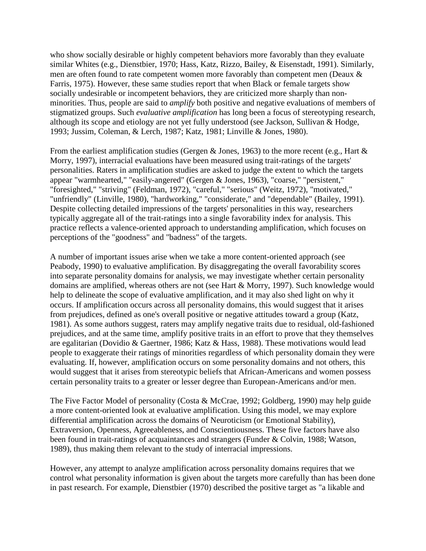who show socially desirable or highly competent behaviors more favorably than they evaluate similar Whites (e.g., Dienstbier, 1970; Hass, Katz, Rizzo, Bailey, & Eisenstadt, 1991). Similarly, men are often found to rate competent women more favorably than competent men (Deaux & Farris, 1975). However, these same studies report that when Black or female targets show socially undesirable or incompetent behaviors, they are criticized more sharply than nonminorities. Thus, people are said to *amplify* both positive and negative evaluations of members of stigmatized groups. Such *evaluative amplification* has long been a focus of stereotyping research, although its scope and etiology are not yet fully understood (see Jackson, Sullivan & Hodge, 1993; Jussim, Coleman, & Lerch, 1987; Katz, 1981; Linville & Jones, 1980).

From the earliest amplification studies (Gergen & Jones, 1963) to the more recent (e.g., Hart  $\&$ Morry, 1997), interracial evaluations have been measured using trait-ratings of the targets' personalities. Raters in amplification studies are asked to judge the extent to which the targets appear "warmhearted," "easily-angered" (Gergen & Jones, 1963), "coarse," "persistent," "foresighted," "striving" (Feldman, 1972), "careful," "serious" (Weitz, 1972), "motivated," "unfriendly" (Linville, 1980), "hardworking," "considerate," and "dependable" (Bailey, 1991). Despite collecting detailed impressions of the targets' personalities in this way, researchers typically aggregate all of the trait-ratings into a single favorability index for analysis. This practice reflects a valence-oriented approach to understanding amplification, which focuses on perceptions of the "goodness" and "badness" of the targets.

A number of important issues arise when we take a more content-oriented approach (see Peabody, 1990) to evaluative amplification. By disaggregating the overall favorability scores into separate personality domains for analysis, we may investigate whether certain personality domains are amplified, whereas others are not (see Hart & Morry, 1997). Such knowledge would help to delineate the scope of evaluative amplification, and it may also shed light on why it occurs. If amplification occurs across all personality domains, this would suggest that it arises from prejudices, defined as one's overall positive or negative attitudes toward a group (Katz, 1981). As some authors suggest, raters may amplify negative traits due to residual, old-fashioned prejudices, and at the same time, amplify positive traits in an effort to prove that they themselves are egalitarian (Dovidio & Gaertner, 1986; Katz & Hass, 1988). These motivations would lead people to exaggerate their ratings of minorities regardless of which personality domain they were evaluating. If, however, amplification occurs on some personality domains and not others, this would suggest that it arises from stereotypic beliefs that African-Americans and women possess certain personality traits to a greater or lesser degree than European-Americans and/or men.

The Five Factor Model of personality (Costa & McCrae, 1992; Goldberg, 1990) may help guide a more content-oriented look at evaluative amplification. Using this model, we may explore differential amplification across the domains of Neuroticism (or Emotional Stability), Extraversion, Openness, Agreeableness, and Conscientiousness. These five factors have also been found in trait-ratings of acquaintances and strangers (Funder & Colvin, 1988; Watson, 1989), thus making them relevant to the study of interracial impressions.

However, any attempt to analyze amplification across personality domains requires that we control what personality information is given about the targets more carefully than has been done in past research. For example, Dienstbier (1970) described the positive target as "a likable and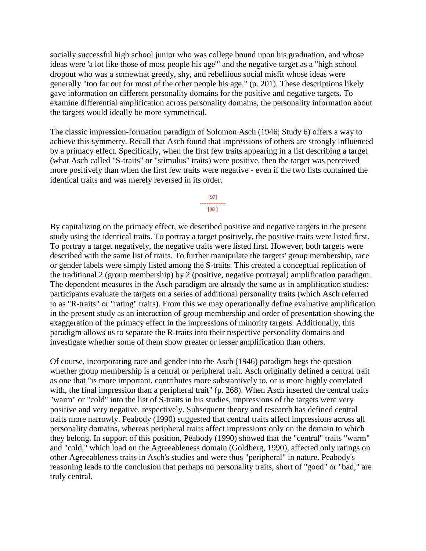socially successful high school junior who was college bound upon his graduation, and whose ideas were 'a lot like those of most people his age'" and the negative target as a "high school dropout who was a somewhat greedy, shy, and rebellious social misfit whose ideas were generally "too far out for most of the other people his age." (p. 201). These descriptions likely gave information on different personality domains for the positive and negative targets. To examine differential amplification across personality domains, the personality information about the targets would ideally be more symmetrical.

The classic impression-formation paradigm of Solomon Asch (1946; Study 6) offers a way to achieve this symmetry. Recall that Asch found that impressions of others are strongly influenced by a primacy effect. Specifically, when the first few traits appearing in a list describing a target (what Asch called "S-traits" or "stimulus" traits) were positive, then the target was perceived more positively than when the first few traits were negative - even if the two lists contained the identical traits and was merely reversed in its order.

> [97] --------------- [98 ]

By capitalizing on the primacy effect, we described positive and negative targets in the present study using the identical traits. To portray a target positively, the positive traits were listed first. To portray a target negatively, the negative traits were listed first. However, both targets were described with the same list of traits. To further manipulate the targets' group membership, race or gender labels were simply listed among the S-traits. This created a conceptual replication of the traditional 2 (group membership) by 2 (positive, negative portrayal) amplification paradigm. The dependent measures in the Asch paradigm are already the same as in amplification studies: participants evaluate the targets on a series of additional personality traits (which Asch referred to as "R-traits" or "rating" traits). From this we may operationally define evaluative amplification in the present study as an interaction of group membership and order of presentation showing the exaggeration of the primacy effect in the impressions of minority targets. Additionally, this paradigm allows us to separate the R-traits into their respective personality domains and investigate whether some of them show greater or lesser amplification than others.

Of course, incorporating race and gender into the Asch (1946) paradigm begs the question whether group membership is a central or peripheral trait. Asch originally defined a central trait as one that "is more important, contributes more substantively to, or is more highly correlated with, the final impression than a peripheral trait" (p. 268). When Asch inserted the central traits "warm" or "cold" into the list of S-traits in his studies, impressions of the targets were very positive and very negative, respectively. Subsequent theory and research has defined central traits more narrowly. Peabody (1990) suggested that central traits affect impressions across all personality domains, whereas peripheral traits affect impressions only on the domain to which they belong. In support of this position, Peabody (1990) showed that the "central" traits "warm" and "cold," which load on the Agreeableness domain (Goldberg, 1990), affected only ratings on other Agreeableness traits in Asch's studies and were thus "peripheral" in nature. Peabody's reasoning leads to the conclusion that perhaps no personality traits, short of "good" or "bad," are truly central.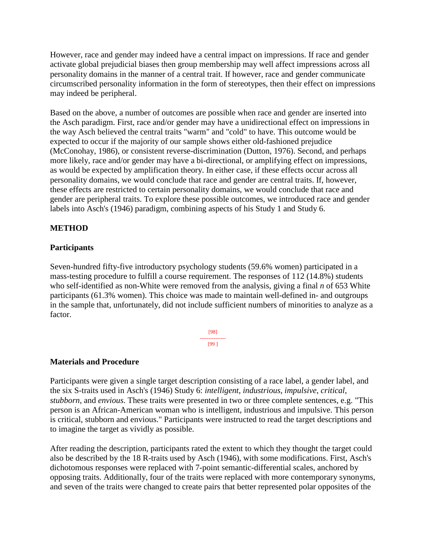However, race and gender may indeed have a central impact on impressions. If race and gender activate global prejudicial biases then group membership may well affect impressions across all personality domains in the manner of a central trait. If however, race and gender communicate circumscribed personality information in the form of stereotypes, then their effect on impressions may indeed be peripheral.

Based on the above, a number of outcomes are possible when race and gender are inserted into the Asch paradigm. First, race and/or gender may have a unidirectional effect on impressions in the way Asch believed the central traits "warm" and "cold" to have. This outcome would be expected to occur if the majority of our sample shows either old-fashioned prejudice (McConohay, 1986), or consistent reverse-discrimination (Dutton, 1976). Second, and perhaps more likely, race and/or gender may have a bi-directional, or amplifying effect on impressions, as would be expected by amplification theory. In either case, if these effects occur across all personality domains, we would conclude that race and gender are central traits. If, however, these effects are restricted to certain personality domains, we would conclude that race and gender are peripheral traits. To explore these possible outcomes, we introduced race and gender labels into Asch's (1946) paradigm, combining aspects of his Study 1 and Study 6.

# **METHOD**

# **Participants**

Seven-hundred fifty-five introductory psychology students (59.6% women) participated in a mass-testing procedure to fulfill a course requirement. The responses of 112 (14.8%) students who self-identified as non-White were removed from the analysis, giving a final *n* of 653 White participants (61.3% women). This choice was made to maintain well-defined in- and outgroups in the sample that, unfortunately, did not include sufficient numbers of minorities to analyze as a factor.

> [98] --------------- [99 ]

# **Materials and Procedure**

Participants were given a single target description consisting of a race label, a gender label, and the six S-traits used in Asch's (1946) Study 6: *intelligent*, *industrious*, *impulsive*, *critical*, *stubborn*, and *envious*. These traits were presented in two or three complete sentences, e.g. "This person is an African-American woman who is intelligent, industrious and impulsive. This person is critical, stubborn and envious." Participants were instructed to read the target descriptions and to imagine the target as vividly as possible.

After reading the description, participants rated the extent to which they thought the target could also be described by the 18 R-traits used by Asch (1946), with some modifications. First, Asch's dichotomous responses were replaced with 7-point semantic-differential scales, anchored by opposing traits. Additionally, four of the traits were replaced with more contemporary synonyms, and seven of the traits were changed to create pairs that better represented polar opposites of the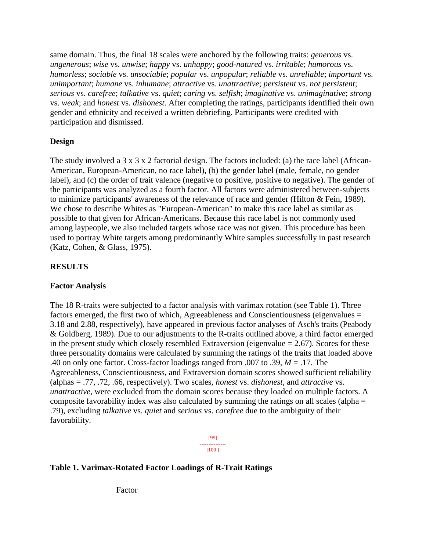same domain. Thus, the final 18 scales were anchored by the following traits: *generous* vs. *ungenerous*; *wise* vs. *unwise*; *happy* vs. *unhappy*; *good-natured* vs. *irritable*; *humorous* vs. *humorless*; *sociable* vs. *unsociable*; *popular* vs. *unpopular*; *reliable* vs. *unreliable*; *important* vs. *unimportant*; *humane* vs. *inhumane*; *attractive* vs. *unattractive*; *persistent* vs. *not persistent*; *serious* vs. *carefree*; *talkative* vs. *quiet*; *caring* vs. *selfish*; *imaginative* vs. *unimaginative*; *strong* vs. *weak*; and *honest* vs. *dishonest*. After completing the ratings, participants identified their own gender and ethnicity and received a written debriefing. Participants were credited with participation and dismissed.

# **Design**

The study involved a 3 x 3 x 2 factorial design. The factors included: (a) the race label (African-American, European-American, no race label), (b) the gender label (male, female, no gender label), and (c) the order of trait valence (negative to positive, positive to negative). The gender of the participants was analyzed as a fourth factor. All factors were administered between-subjects to minimize participants' awareness of the relevance of race and gender (Hilton & Fein, 1989). We chose to describe Whites as "European-American" to make this race label as similar as possible to that given for African-Americans. Because this race label is not commonly used among laypeople, we also included targets whose race was not given. This procedure has been used to portray White targets among predominantly White samples successfully in past research (Katz, Cohen, & Glass, 1975).

#### **RESULTS**

#### **Factor Analysis**

The 18 R-traits were subjected to a factor analysis with varimax rotation (see Table 1). Three factors emerged, the first two of which, Agreeableness and Conscientiousness (eigenvalues = 3.18 and 2.88, respectively), have appeared in previous factor analyses of Asch's traits (Peabody & Goldberg, 1989). Due to our adjustments to the R-traits outlined above, a third factor emerged in the present study which closely resembled Extraversion (eigenvalue  $= 2.67$ ). Scores for these three personality domains were calculated by summing the ratings of the traits that loaded above .40 on only one factor. Cross-factor loadings ranged from .007 to .39, *M* = .17. The Agreeableness, Conscientiousness, and Extraversion domain scores showed sufficient reliability (alphas = .77, .72, .66, respectively). Two scales, *honest* vs. *dishonest*, and *attractive* vs. *unattractive*, were excluded from the domain scores because they loaded on multiple factors. A composite favorability index was also calculated by summing the ratings on all scales (alpha = .79), excluding *talkative* vs. *quiet* and *serious* vs. *carefree* due to the ambiguity of their favorability.

> [99] --------------- [100 ]

# **Table 1. Varimax-Rotated Factor Loadings of R-Trait Ratings**

Factor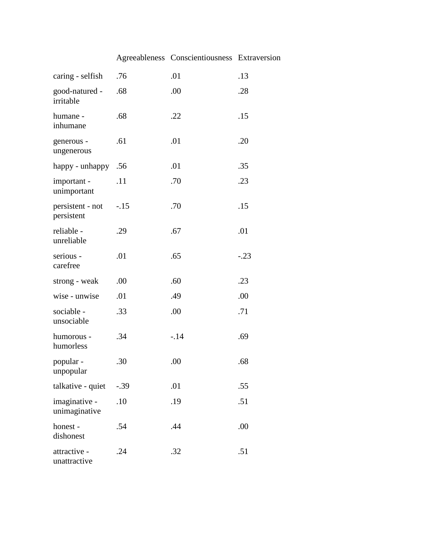# Agreeableness Conscientiousness Extraversion

| caring - selfish               | .76    | .01   | .13    |
|--------------------------------|--------|-------|--------|
| good-natured -<br>irritable    | .68    | .00   | .28    |
| humane -<br>inhumane           | .68    | .22   | .15    |
| generous -<br>ungenerous       | .61    | .01   | .20    |
| happy - unhappy                | .56    | .01   | .35    |
| important -<br>unimportant     | .11    | .70   | .23    |
| persistent - not<br>persistent | $-15$  | .70   | .15    |
| reliable -<br>unreliable       | .29    | .67   | .01    |
| serious -<br>carefree          | .01    | .65   | $-.23$ |
| strong - weak                  | .00    | .60   | .23    |
| wise - unwise                  | .01    | .49   | .00    |
| sociable -<br>unsociable       | .33    | .00   | .71    |
| humorous -<br>humorless        | .34    | $-14$ | .69    |
| popular -<br>unpopular         | .30    | .00   | .68    |
| talkative - quiet              | $-.39$ | .01   | .55    |
| imaginative -<br>unimaginative | .10    | .19   | .51    |
| honest-<br>dishonest           | .54    | .44   | .00    |
| attractive -<br>unattractive   | .24    | .32   | .51    |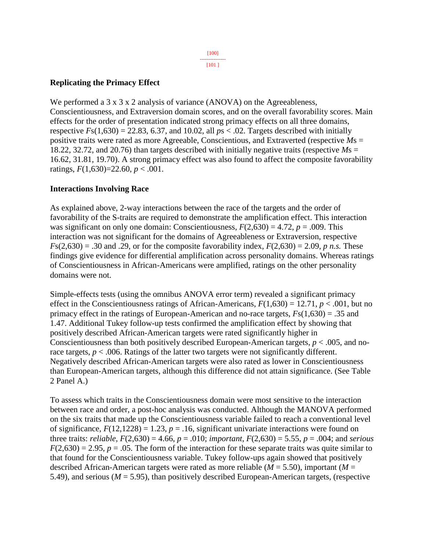[101 ]

# **Replicating the Primacy Effect**

We performed a  $3 \times 3 \times 2$  analysis of variance (ANOVA) on the Agreeableness, Conscientiousness, and Extraversion domain scores, and on the overall favorability scores. Main effects for the order of presentation indicated strong primacy effects on all three domains, respective  $Fs(1,630) = 22.83$ , 6.37, and 10.02, all  $ps < .02$ . Targets described with initially positive traits were rated as more Agreeable, Conscientious, and Extraverted (respective *M*s = 18.22, 32.72, and 20.76) than targets described with initially negative traits (respective *M*s = 16.62, 31.81, 19.70). A strong primacy effect was also found to affect the composite favorability ratings, *F*(1,630)=22.60, *p* < .001.

# **Interactions Involving Race**

As explained above, 2-way interactions between the race of the targets and the order of favorability of the S-traits are required to demonstrate the amplification effect. This interaction was significant on only one domain: Conscientiousness,  $F(2,630) = 4.72$ ,  $p = .009$ . This interaction was not significant for the domains of Agreeableness or Extraversion, respective  $F(s(2,630) = .30$  and .29, or for the composite favorability index,  $F(2,630) = 2.09$ , *p n.s.* These findings give evidence for differential amplification across personality domains. Whereas ratings of Conscientiousness in African-Americans were amplified, ratings on the other personality domains were not.

Simple-effects tests (using the omnibus ANOVA error term) revealed a significant primacy effect in the Conscientiousness ratings of African-Americans,  $F(1,630) = 12.71$ ,  $p < .001$ , but no primacy effect in the ratings of European-American and no-race targets, *F*s(1,630) = .35 and 1.47. Additional Tukey follow-up tests confirmed the amplification effect by showing that positively described African-American targets were rated significantly higher in Conscientiousness than both positively described European-American targets, *p* < .005, and norace targets,  $p < .006$ . Ratings of the latter two targets were not significantly different. Negatively described African-American targets were also rated as lower in Conscientiousness than European-American targets, although this difference did not attain significance. (See Table 2 Panel A.)

To assess which traits in the Conscientiousness domain were most sensitive to the interaction between race and order, a post-hoc analysis was conducted. Although the MANOVA performed on the six traits that made up the Conscientiousness variable failed to reach a conventional level of significance,  $F(12,1228) = 1.23$ ,  $p = .16$ , significant univariate interactions were found on three traits: *reliable*,  $F(2,630) = 4.66$ ,  $p = .010$ ; *important*,  $F(2,630) = 5.55$ ,  $p = .004$ ; and *serious*  $F(2,630) = 2.95$ ,  $p = .05$ . The form of the interaction for these separate traits was quite similar to that found for the Conscientiousness variable. Tukey follow-ups again showed that positively described African-American targets were rated as more reliable (*M* = 5.50), important (*M* = 5.49), and serious (*M* = 5.95), than positively described European-American targets, (respective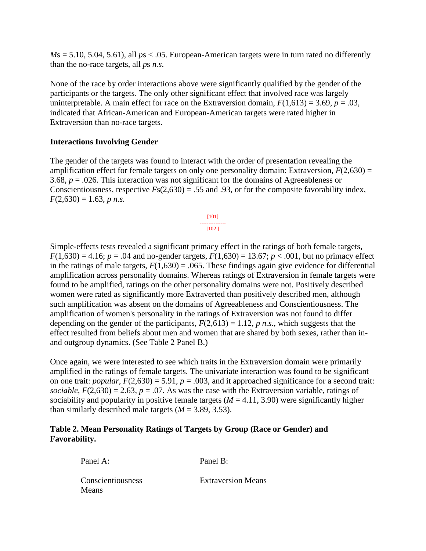$Ms = 5.10, 5.04, 5.61$ , all  $ps < .05$ . European-American targets were in turn rated no differently than the no-race targets, all *p*s *n.s*.

None of the race by order interactions above were significantly qualified by the gender of the participants or the targets. The only other significant effect that involved race was largely uninterpretable. A main effect for race on the Extraversion domain,  $F(1,613) = 3.69$ ,  $p = .03$ , indicated that African-American and European-American targets were rated higher in Extraversion than no-race targets.

#### **Interactions Involving Gender**

The gender of the targets was found to interact with the order of presentation revealing the amplification effect for female targets on only one personality domain: Extraversion,  $F(2,630) =$ 3.68, *p* = .026. This interaction was not significant for the domains of Agreeableness or Conscientiousness, respective  $Fs(2,630) = .55$  and .93, or for the composite favorability index,  $F(2,630) = 1.63$ , *p n.s.* 



Simple-effects tests revealed a significant primacy effect in the ratings of both female targets,  $F(1,630) = 4.16$ ;  $p = .04$  and no-gender targets,  $F(1,630) = 13.67$ ;  $p < .001$ , but no primacy effect in the ratings of male targets,  $F(1,630) = .065$ . These findings again give evidence for differential amplification across personality domains. Whereas ratings of Extraversion in female targets were found to be amplified, ratings on the other personality domains were not. Positively described women were rated as significantly more Extraverted than positively described men, although such amplification was absent on the domains of Agreeableness and Conscientiousness. The amplification of women's personality in the ratings of Extraversion was not found to differ depending on the gender of the participants,  $F(2,613) = 1.12$ , *p n.s.*, which suggests that the effect resulted from beliefs about men and women that are shared by both sexes, rather than inand outgroup dynamics. (See Table 2 Panel B.)

Once again, we were interested to see which traits in the Extraversion domain were primarily amplified in the ratings of female targets. The univariate interaction was found to be significant on one trait: *popular*,  $F(2,630) = 5.91$ ,  $p = .003$ , and it approached significance for a second trait: *sociable*,  $F(2,630) = 2.63$ ,  $p = .07$ . As was the case with the Extraversion variable, ratings of sociability and popularity in positive female targets  $(M = 4.11, 3.90)$  were significantly higher than similarly described male targets  $(M = 3.89, 3.53)$ .

#### **Table 2. Mean Personality Ratings of Targets by Group (Race or Gender) and Favorability.**

| Panel A:                          | Panel B:                  |
|-----------------------------------|---------------------------|
| Conscientiousness<br><b>Means</b> | <b>Extraversion Means</b> |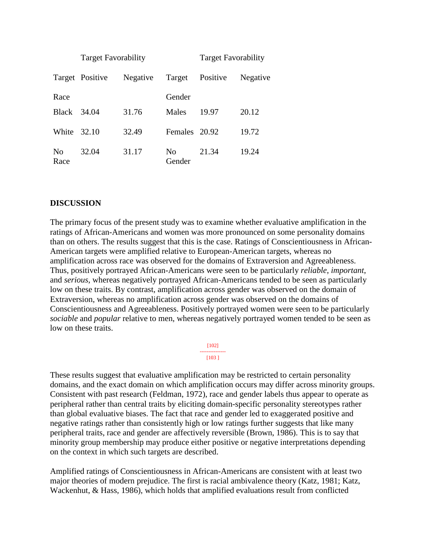|            | <b>Target Favorability</b> |          |               | <b>Target Favorability</b> |          |
|------------|----------------------------|----------|---------------|----------------------------|----------|
|            | Target Positive            | Negative | Target        | Positive                   | Negative |
| Race       |                            |          | Gender        |                            |          |
| Black      | 34.04                      | 31.76    | Males         | 19.97                      | 20.12    |
| White      | 32.10                      | 32.49    | Females 20.92 |                            | 19.72    |
| No<br>Race | 32.04                      | 31.17    | No<br>Gender  | 21.34                      | 19.24    |

#### **DISCUSSION**

The primary focus of the present study was to examine whether evaluative amplification in the ratings of African-Americans and women was more pronounced on some personality domains than on others. The results suggest that this is the case. Ratings of Conscientiousness in African-American targets were amplified relative to European-American targets, whereas no amplification across race was observed for the domains of Extraversion and Agreeableness. Thus, positively portrayed African-Americans were seen to be particularly *reliable*, *important*, and *serious*, whereas negatively portrayed African-Americans tended to be seen as particularly low on these traits. By contrast, amplification across gender was observed on the domain of Extraversion, whereas no amplification across gender was observed on the domains of Conscientiousness and Agreeableness. Positively portrayed women were seen to be particularly *sociable* and *popular* relative to men, whereas negatively portrayed women tended to be seen as low on these traits.

> [102] --------------- [103 ]

These results suggest that evaluative amplification may be restricted to certain personality domains, and the exact domain on which amplification occurs may differ across minority groups. Consistent with past research (Feldman, 1972), race and gender labels thus appear to operate as peripheral rather than central traits by eliciting domain-specific personality stereotypes rather than global evaluative biases. The fact that race and gender led to exaggerated positive and negative ratings rather than consistently high or low ratings further suggests that like many peripheral traits, race and gender are affectively reversible (Brown, 1986). This is to say that minority group membership may produce either positive or negative interpretations depending on the context in which such targets are described.

Amplified ratings of Conscientiousness in African-Americans are consistent with at least two major theories of modern prejudice. The first is racial ambivalence theory (Katz, 1981; Katz, Wackenhut, & Hass, 1986), which holds that amplified evaluations result from conflicted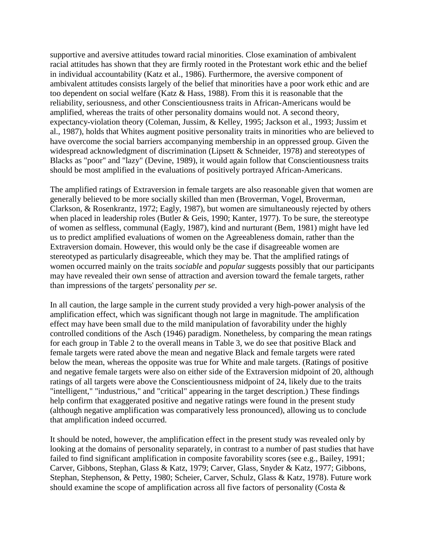supportive and aversive attitudes toward racial minorities. Close examination of ambivalent racial attitudes has shown that they are firmly rooted in the Protestant work ethic and the belief in individual accountability (Katz et al., 1986). Furthermore, the aversive component of ambivalent attitudes consists largely of the belief that minorities have a poor work ethic and are too dependent on social welfare (Katz & Hass, 1988). From this it is reasonable that the reliability, seriousness, and other Conscientiousness traits in African-Americans would be amplified, whereas the traits of other personality domains would not. A second theory, expectancy-violation theory (Coleman, Jussim, & Kelley, 1995; Jackson et al., 1993; Jussim et al., 1987), holds that Whites augment positive personality traits in minorities who are believed to have overcome the social barriers accompanying membership in an oppressed group. Given the widespread acknowledgment of discrimination (Lipsett & Schneider, 1978) and stereotypes of Blacks as "poor" and "lazy" (Devine, 1989), it would again follow that Conscientiousness traits should be most amplified in the evaluations of positively portrayed African-Americans.

The amplified ratings of Extraversion in female targets are also reasonable given that women are generally believed to be more socially skilled than men (Broverman, Vogel, Broverman, Clarkson, & Rosenkrantz, 1972; Eagly, 1987), but women are simultaneously rejected by others when placed in leadership roles (Butler & Geis, 1990; Kanter, 1977). To be sure, the stereotype of women as selfless, communal (Eagly, 1987), kind and nurturant (Bem, 1981) might have led us to predict amplified evaluations of women on the Agreeableness domain, rather than the Extraversion domain. However, this would only be the case if disagreeable women are stereotyped as particularly disagreeable, which they may be. That the amplified ratings of women occurred mainly on the traits *sociable* and *popular* suggests possibly that our participants may have revealed their own sense of attraction and aversion toward the female targets, rather than impressions of the targets' personality *per se*.

In all caution, the large sample in the current study provided a very high-power analysis of the amplification effect, which was significant though not large in magnitude. The amplification effect may have been small due to the mild manipulation of favorability under the highly controlled conditions of the Asch (1946) paradigm. Nonetheless, by comparing the mean ratings for each group in Table 2 to the overall means in Table 3, we do see that positive Black and female targets were rated above the mean and negative Black and female targets were rated below the mean, whereas the opposite was true for White and male targets. (Ratings of positive and negative female targets were also on either side of the Extraversion midpoint of 20, although ratings of all targets were above the Conscientiousness midpoint of 24, likely due to the traits "intelligent," "industrious," and "critical" appearing in the target description.) These findings help confirm that exaggerated positive and negative ratings were found in the present study (although negative amplification was comparatively less pronounced), allowing us to conclude that amplification indeed occurred.

It should be noted, however, the amplification effect in the present study was revealed only by looking at the domains of personality separately, in contrast to a number of past studies that have failed to find significant amplification in composite favorability scores (see e.g., Bailey, 1991; Carver, Gibbons, Stephan, Glass & Katz, 1979; Carver, Glass, Snyder & Katz, 1977; Gibbons, Stephan, Stephenson, & Petty, 1980; Scheier, Carver, Schulz, Glass & Katz, 1978). Future work should examine the scope of amplification across all five factors of personality (Costa &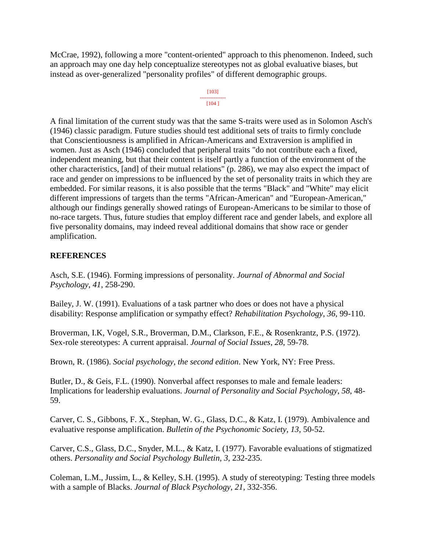McCrae, 1992), following a more "content-oriented" approach to this phenomenon. Indeed, such an approach may one day help conceptualize stereotypes not as global evaluative biases, but instead as over-generalized "personality profiles" of different demographic groups.

> [103] --------------- [104 ]

A final limitation of the current study was that the same S-traits were used as in Solomon Asch's (1946) classic paradigm. Future studies should test additional sets of traits to firmly conclude that Conscientiousness is amplified in African-Americans and Extraversion is amplified in women. Just as Asch (1946) concluded that peripheral traits "do not contribute each a fixed, independent meaning, but that their content is itself partly a function of the environment of the other characteristics, [and] of their mutual relations" (p. 286), we may also expect the impact of race and gender on impressions to be influenced by the set of personality traits in which they are embedded. For similar reasons, it is also possible that the terms "Black" and "White" may elicit different impressions of targets than the terms "African-American" and "European-American," although our findings generally showed ratings of European-Americans to be similar to those of no-race targets. Thus, future studies that employ different race and gender labels, and explore all five personality domains, may indeed reveal additional domains that show race or gender amplification.

# **REFERENCES**

Asch, S.E. (1946). Forming impressions of personality. *Journal of Abnormal and Social Psychology*, *41*, 258-290.

Bailey, J. W. (1991). Evaluations of a task partner who does or does not have a physical disability: Response amplification or sympathy effect? *Rehabilitation Psychology*, *36*, 99-110.

Broverman, I.K, Vogel, S.R., Broverman, D.M., Clarkson, F.E., & Rosenkrantz, P.S. (1972). Sex-role stereotypes: A current appraisal. *Journal of Social Issues*, *28*, 59-78.

Brown, R. (1986). *Social psychology, the second edition*. New York, NY: Free Press.

Butler, D., & Geis, F.L. (1990). Nonverbal affect responses to male and female leaders: Implications for leadership evaluations. *Journal of Personality and Social Psychology*, *58*, 48- 59.

Carver, C. S., Gibbons, F. X., Stephan, W. G., Glass, D.C., & Katz, I. (1979). Ambivalence and evaluative response amplification. *Bulletin of the Psychonomic Society*, *13*, 50-52.

Carver, C.S., Glass, D.C., Snyder, M.L., & Katz, I. (1977). Favorable evaluations of stigmatized others. *Personality and Social Psychology Bulletin*, *3*, 232-235.

Coleman, L.M., Jussim, L., & Kelley, S.H. (1995). A study of stereotyping: Testing three models with a sample of Blacks. *Journal of Black Psychology*, *21*, 332-356.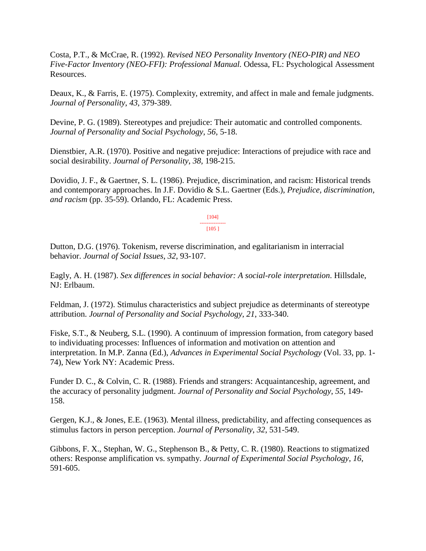Costa, P.T., & McCrae, R. (1992). *Revised NEO Personality Inventory (NEO-PIR) and NEO Five-Factor Inventory (NEO-FFI): Professional Manual.* Odessa, FL: Psychological Assessment Resources.

Deaux, K., & Farris, E. (1975). Complexity, extremity, and affect in male and female judgments. *Journal of Personality*, *43*, 379-389.

Devine, P. G. (1989). Stereotypes and prejudice: Their automatic and controlled components. *Journal of Personality and Social Psychology*, *56*, 5-18.

Dienstbier, A.R. (1970). Positive and negative prejudice: Interactions of prejudice with race and social desirability. *Journal of Personality*, *38,* 198-215.

Dovidio, J. F., & Gaertner, S. L. (1986). Prejudice, discrimination, and racism: Historical trends and contemporary approaches. In J.F. Dovidio & S.L. Gaertner (Eds.), *Prejudice, discrimination, and racism* (pp. 35-59). Orlando, FL: Academic Press.

> [104] --------------- [105 ]

Dutton, D.G. (1976). Tokenism, reverse discrimination, and egalitarianism in interracial behavior. *Journal of Social Issues*, *32*, 93-107.

Eagly, A. H. (1987). *Sex differences in social behavior: A social-role interpretation*. Hillsdale, NJ: Erlbaum.

Feldman, J. (1972). Stimulus characteristics and subject prejudice as determinants of stereotype attribution. *Journal of Personality and Social Psychology*, *21*, 333-340.

Fiske, S.T., & Neuberg, S.L. (1990). A continuum of impression formation, from category based to individuating processes: Influences of information and motivation on attention and interpretation. In M.P. Zanna (Ed.), *Advances in Experimental Social Psychology* (Vol. 33, pp. 1- 74), New York NY: Academic Press.

Funder D. C., & Colvin, C. R. (1988). Friends and strangers: Acquaintanceship, agreement, and the accuracy of personality judgment. *Journal of Personality and Social Psychology*, *55*, 149- 158.

Gergen, K.J., & Jones, E.E. (1963). Mental illness, predictability, and affecting consequences as stimulus factors in person perception. *Journal of Personality*, *32*, 531-549.

Gibbons, F. X., Stephan, W. G., Stephenson B., & Petty, C. R. (1980). Reactions to stigmatized others: Response amplification vs. sympathy. *Journal of Experimental Social Psychology*, *16*, 591-605.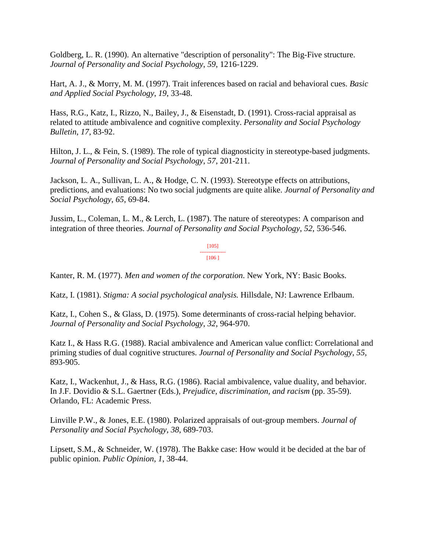Goldberg, L. R. (1990). An alternative "description of personality": The Big-Five structure. *Journal of Personality and Social Psychology*, *59*, 1216-1229.

Hart, A. J., & Morry, M. M. (1997). Trait inferences based on racial and behavioral cues. *Basic and Applied Social Psychology*, *19*, 33-48.

Hass, R.G., Katz, I., Rizzo, N., Bailey, J., & Eisenstadt, D. (1991). Cross-racial appraisal as related to attitude ambivalence and cognitive complexity. *Personality and Social Psychology Bulletin*, *17*, 83-92.

Hilton, J. L., & Fein, S. (1989). The role of typical diagnosticity in stereotype-based judgments. *Journal of Personality and Social Psychology*, *57*, 201-211.

Jackson, L. A., Sullivan, L. A., & Hodge, C. N. (1993). Stereotype effects on attributions, predictions, and evaluations: No two social judgments are quite alike. *Journal of Personality and Social Psychology*, *65*, 69-84.

Jussim, L., Coleman, L. M., & Lerch, L. (1987). The nature of stereotypes: A comparison and integration of three theories. *Journal of Personality and Social Psychology*, *52*, 536-546.

> [105] --------------- [106 ]

Kanter, R. M. (1977). *Men and women of the corporation*. New York, NY: Basic Books.

Katz, I. (1981). *Stigma: A social psychological analysis.* Hillsdale, NJ: Lawrence Erlbaum.

Katz, I., Cohen S., & Glass, D. (1975). Some determinants of cross-racial helping behavior. *Journal of Personality and Social Psychology*, *32*, 964-970.

Katz I., & Hass R.G. (1988). Racial ambivalence and American value conflict: Correlational and priming studies of dual cognitive structures. *Journal of Personality and Social Psychology*, *55*, 893-905.

Katz, I., Wackenhut, J., & Hass, R.G. (1986). Racial ambivalence, value duality, and behavior. In J.F. Dovidio & S.L. Gaertner (Eds.), *Prejudice, discrimination, and racism* (pp. 35-59). Orlando, FL: Academic Press.

Linville P.W., & Jones, E.E. (1980). Polarized appraisals of out-group members. *Journal of Personality and Social Psychology*, *38*, 689-703.

Lipsett, S.M., & Schneider, W. (1978). The Bakke case: How would it be decided at the bar of public opinion. *Public Opinion*, *1*, 38-44.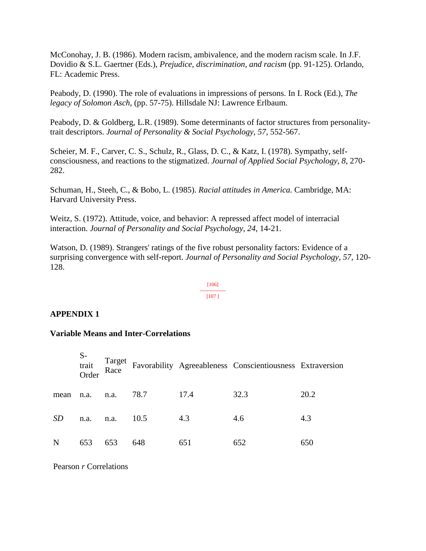McConohay, J. B. (1986). Modern racism, ambivalence, and the modern racism scale. In J.F. Dovidio & S.L. Gaertner (Eds.), *Prejudice, discrimination, and racism* (pp. 91-125). Orlando, FL: Academic Press.

Peabody, D. (1990). The role of evaluations in impressions of persons. In I. Rock (Ed.), *The legacy of Solomon Asch*, (pp. 57-75). Hillsdale NJ: Lawrence Erlbaum.

Peabody, D. & Goldberg, L.R. (1989). Some determinants of factor structures from personalitytrait descriptors. *Journal of Personality & Social Psychology*, *57*, 552-567.

Scheier, M. F., Carver, C. S., Schulz, R., Glass, D. C., & Katz, I. (1978). Sympathy, selfconsciousness, and reactions to the stigmatized. *Journal of Applied Social Psychology*, *8*, 270- 282.

Schuman, H., Steeh, C., & Bobo, L. (1985). *Racial attitudes in America.* Cambridge, MA: Harvard University Press.

Weitz, S. (1972). Attitude, voice, and behavior: A repressed affect model of interracial interaction. *Journal of Personality and Social Psychology*, *24*, 14-21.

Watson, D. (1989). Strangers' ratings of the five robust personality factors: Evidence of a surprising convergence with self-report. *Journal of Personality and Social Psychology*, *57*, 120- 128.

#### [106] --------------- [107 ]

# **APPENDIX 1**

#### **Variable Means and Inter-Correlations**

|           | $S-$<br>trait<br>Order | Target<br>Race |      |      | Favorability Agreeableness Conscientiousness Extraversion |      |
|-----------|------------------------|----------------|------|------|-----------------------------------------------------------|------|
| mean      | n.a.                   | n.a.           | 78.7 | 17.4 | 32.3                                                      | 20.2 |
| <i>SD</i> | n.a.                   | n.a.           | 10.5 | 4.3  | 4.6                                                       | 4.3  |
| N         | 653                    | 653            | 648  | 651  | 652                                                       | 650  |

Pearson *r* Correlations